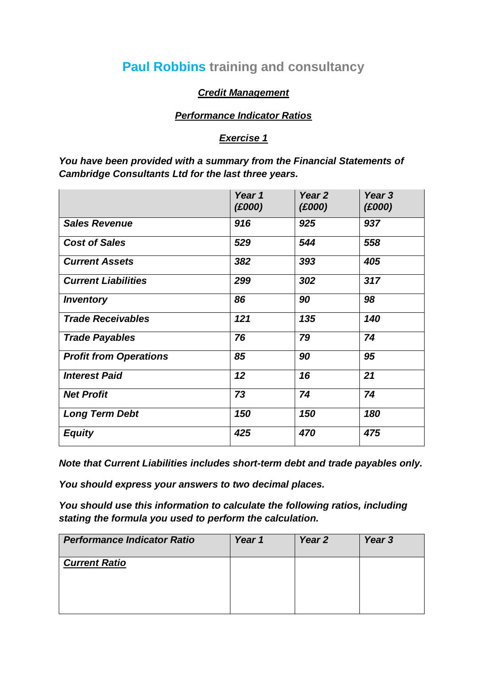## **Paul Robbins training and consultancy**

## *Credit Management*

## *Performance Indicator Ratios*

## *Exercise 1*

*You have been provided with a summary from the Financial Statements of Cambridge Consultants Ltd for the last three years.*

|                               | Year 1<br>(E000) | Year <sub>2</sub><br>(£000) | Year 3<br>(£000) |
|-------------------------------|------------------|-----------------------------|------------------|
| <b>Sales Revenue</b>          | 916              | 925                         | 937              |
| <b>Cost of Sales</b>          | 529              | 544                         | 558              |
| <b>Current Assets</b>         | 382              | 393                         | 405              |
| <b>Current Liabilities</b>    | 299              | 302                         | 317              |
| <b>Inventory</b>              | 86               | 90                          | 98               |
| <b>Trade Receivables</b>      | 121              | 135                         | 140              |
| <b>Trade Payables</b>         | 76               | 79                          | 74               |
| <b>Profit from Operations</b> | 85               | 90                          | 95               |
| <b>Interest Paid</b>          | 12               | 16                          | 21               |
| <b>Net Profit</b>             | 73               | 74                          | 74               |
| <b>Long Term Debt</b>         | 150              | 150                         | 180              |
| <b>Equity</b>                 | 425              | 470                         | 475              |

*Note that Current Liabilities includes short-term debt and trade payables only.*

*You should express your answers to two decimal places.*

*You should use this information to calculate the following ratios, including stating the formula you used to perform the calculation.*

| <b>Performance Indicator Ratio</b> | Year 1 | Year <sub>2</sub> | Year 3 |
|------------------------------------|--------|-------------------|--------|
| <b>Current Ratio</b>               |        |                   |        |
|                                    |        |                   |        |